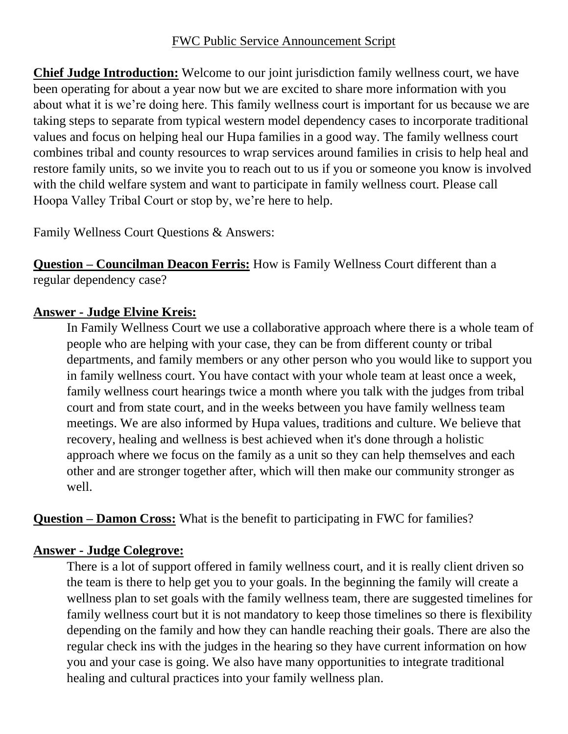**Chief Judge Introduction:** Welcome to our joint jurisdiction family wellness court, we have been operating for about a year now but we are excited to share more information with you about what it is we're doing here. This family wellness court is important for us because we are taking steps to separate from typical western model dependency cases to incorporate traditional values and focus on helping heal our Hupa families in a good way. The family wellness court combines tribal and county resources to wrap services around families in crisis to help heal and restore family units, so we invite you to reach out to us if you or someone you know is involved with the child welfare system and want to participate in family wellness court. Please call Hoopa Valley Tribal Court or stop by, we're here to help.

Family Wellness Court Questions & Answers:

**Question – Councilman Deacon Ferris:** How is Family Wellness Court different than a regular dependency case?

# **Answer - Judge Elvine Kreis:**

In Family Wellness Court we use a collaborative approach where there is a whole team of people who are helping with your case, they can be from different county or tribal departments, and family members or any other person who you would like to support you in family wellness court. You have contact with your whole team at least once a week, family wellness court hearings twice a month where you talk with the judges from tribal court and from state court, and in the weeks between you have family wellness team meetings. We are also informed by Hupa values, traditions and culture. We believe that recovery, healing and wellness is best achieved when it's done through a holistic approach where we focus on the family as a unit so they can help themselves and each other and are stronger together after, which will then make our community stronger as well.

**Question – Damon Cross:** What is the benefit to participating in FWC for families?

# **Answer - Judge Colegrove:**

There is a lot of support offered in family wellness court, and it is really client driven so the team is there to help get you to your goals. In the beginning the family will create a wellness plan to set goals with the family wellness team, there are suggested timelines for family wellness court but it is not mandatory to keep those timelines so there is flexibility depending on the family and how they can handle reaching their goals. There are also the regular check ins with the judges in the hearing so they have current information on how you and your case is going. We also have many opportunities to integrate traditional healing and cultural practices into your family wellness plan.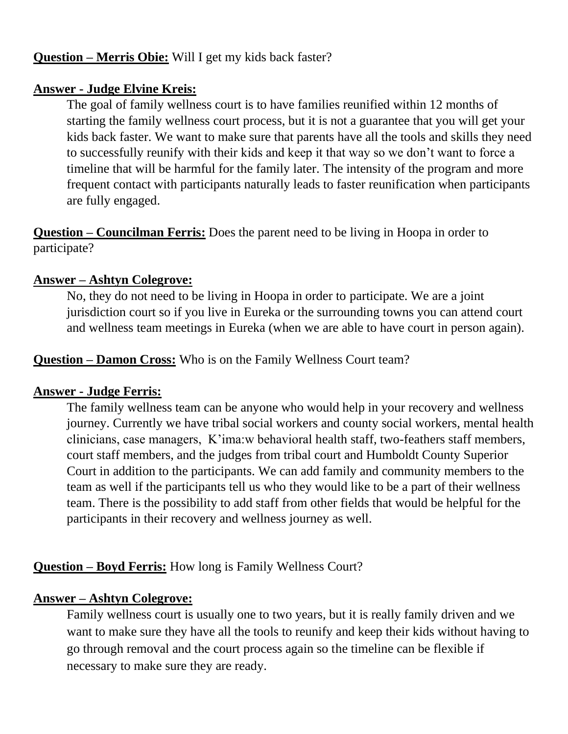# **Question – Merris Obie:** Will I get my kids back faster?

### **Answer - Judge Elvine Kreis:**

The goal of family wellness court is to have families reunified within 12 months of starting the family wellness court process, but it is not a guarantee that you will get your kids back faster. We want to make sure that parents have all the tools and skills they need to successfully reunify with their kids and keep it that way so we don't want to force a timeline that will be harmful for the family later. The intensity of the program and more frequent contact with participants naturally leads to faster reunification when participants are fully engaged.

**Question – Councilman Ferris:** Does the parent need to be living in Hoopa in order to participate?

### **Answer – Ashtyn Colegrove:**

No, they do not need to be living in Hoopa in order to participate. We are a joint jurisdiction court so if you live in Eureka or the surrounding towns you can attend court and wellness team meetings in Eureka (when we are able to have court in person again).

**Question – Damon Cross:** Who is on the Family Wellness Court team?

### **Answer - Judge Ferris:**

The family wellness team can be anyone who would help in your recovery and wellness journey. Currently we have tribal social workers and county social workers, mental health clinicians, case managers, K'ima:w behavioral health staff, two-feathers staff members, court staff members, and the judges from tribal court and Humboldt County Superior Court in addition to the participants. We can add family and community members to the team as well if the participants tell us who they would like to be a part of their wellness team. There is the possibility to add staff from other fields that would be helpful for the participants in their recovery and wellness journey as well.

**Question – Boyd Ferris:** How long is Family Wellness Court?

### **Answer – Ashtyn Colegrove:**

Family wellness court is usually one to two years, but it is really family driven and we want to make sure they have all the tools to reunify and keep their kids without having to go through removal and the court process again so the timeline can be flexible if necessary to make sure they are ready.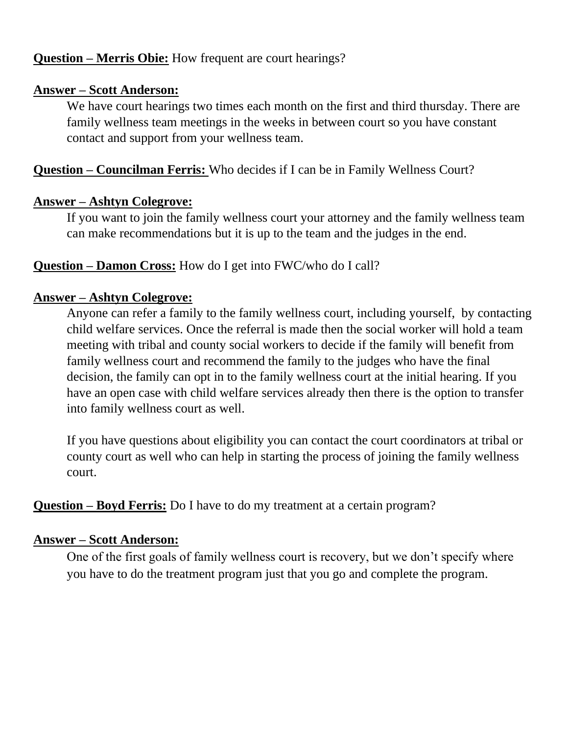# **Question – Merris Obie:** How frequent are court hearings?

## **Answer – Scott Anderson:**

We have court hearings two times each month on the first and third thursday. There are family wellness team meetings in the weeks in between court so you have constant contact and support from your wellness team.

# **Question – Councilman Ferris:** Who decides if I can be in Family Wellness Court?

# **Answer – Ashtyn Colegrove:**

If you want to join the family wellness court your attorney and the family wellness team can make recommendations but it is up to the team and the judges in the end.

# **Question – Damon Cross:** How do I get into FWC/who do I call?

## **Answer – Ashtyn Colegrove:**

Anyone can refer a family to the family wellness court, including yourself, by contacting child welfare services. Once the referral is made then the social worker will hold a team meeting with tribal and county social workers to decide if the family will benefit from family wellness court and recommend the family to the judges who have the final decision, the family can opt in to the family wellness court at the initial hearing. If you have an open case with child welfare services already then there is the option to transfer into family wellness court as well.

If you have questions about eligibility you can contact the court coordinators at tribal or county court as well who can help in starting the process of joining the family wellness court.

**Question – Boyd Ferris:** Do I have to do my treatment at a certain program?

# **Answer – Scott Anderson:**

One of the first goals of family wellness court is recovery, but we don't specify where you have to do the treatment program just that you go and complete the program.